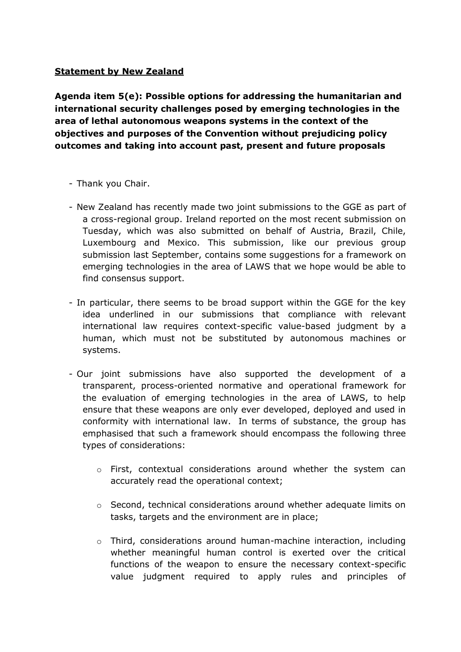## **Statement by New Zealand**

**Agenda item 5(e): Possible options for addressing the humanitarian and international security challenges posed by emerging technologies in the area of lethal autonomous weapons systems in the context of the objectives and purposes of the Convention without prejudicing policy outcomes and taking into account past, present and future proposals**

- Thank you Chair.
- New Zealand has recently made two joint submissions to the GGE as part of a cross-regional group. Ireland reported on the most recent submission on Tuesday, which was also submitted on behalf of Austria, Brazil, Chile, Luxembourg and Mexico. This submission, like our previous group submission last September, contains some suggestions for a framework on emerging technologies in the area of LAWS that we hope would be able to find consensus support.
- In particular, there seems to be broad support within the GGE for the key idea underlined in our submissions that compliance with relevant international law requires context-specific value-based judgment by a human, which must not be substituted by autonomous machines or systems.
- Our joint submissions have also supported the development of a transparent, process-oriented normative and operational framework for the evaluation of emerging technologies in the area of LAWS, to help ensure that these weapons are only ever developed, deployed and used in conformity with international law. In terms of substance, the group has emphasised that such a framework should encompass the following three types of considerations:
	- $\circ$  First, contextual considerations around whether the system can accurately read the operational context;
	- o Second, technical considerations around whether adequate limits on tasks, targets and the environment are in place;
	- $\circ$  Third, considerations around human-machine interaction, including whether meaningful human control is exerted over the critical functions of the weapon to ensure the necessary context-specific value judgment required to apply rules and principles of